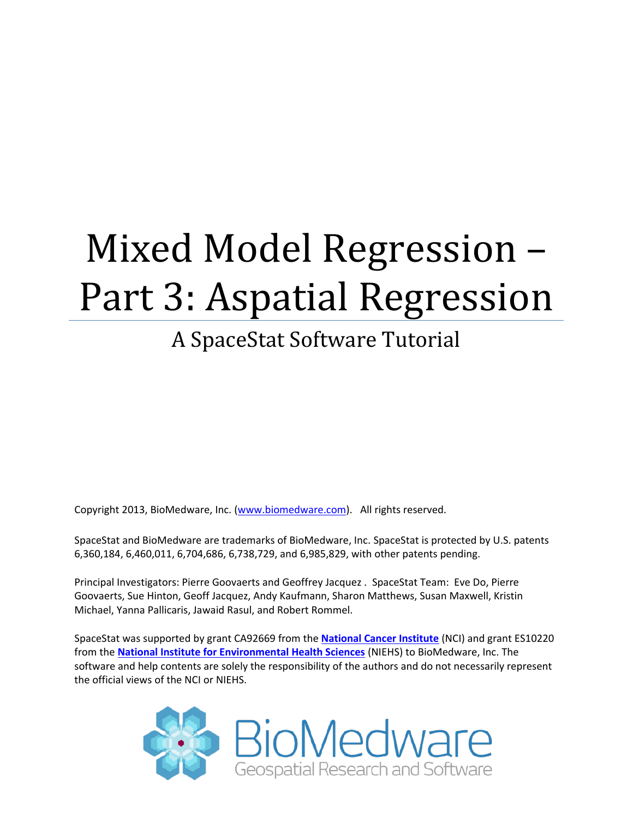# Mixed Model Regression – Part 3: Aspatial Regression

# A SpaceStat Software Tutorial

Copyright 2013, BioMedware, Inc. [\(www.biomedware.com\)](http://www.biomedware.com/). All rights reserved.

SpaceStat and BioMedware are trademarks of BioMedware, Inc. SpaceStat is protected by U.S. patents 6,360,184, 6,460,011, 6,704,686, 6,738,729, and 6,985,829, with other patents pending.

Principal Investigators: Pierre Goovaerts and Geoffrey Jacquez . SpaceStat Team: Eve Do, Pierre Goovaerts, Sue Hinton, Geoff Jacquez, Andy Kaufmann, Sharon Matthews, Susan Maxwell, Kristin Michael, Yanna Pallicaris, Jawaid Rasul, and Robert Rommel.

SpaceStat was supported by grant CA92669 from the **[National Cancer Institute](http://www.nci.nih.gov/)** (NCI) and grant ES10220 from the **[National Institute for Environmental Health Sciences](http://www.niehs.nih.gov/)** (NIEHS) to BioMedware, Inc. The software and help contents are solely the responsibility of the authors and do not necessarily represent the official views of the NCI or NIEHS.

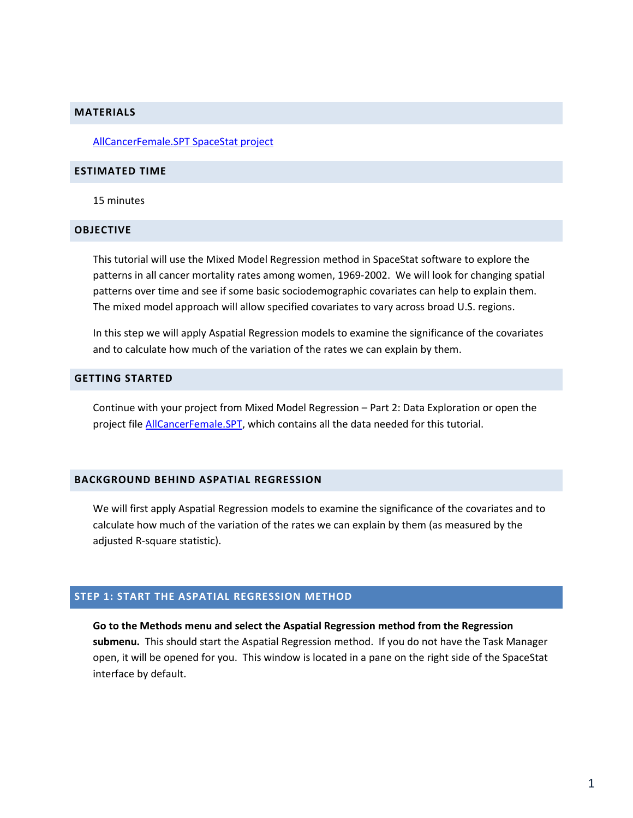#### **MATERIALS**

[AllCancerFemale.SPT SpaceStat project](http://www.biomedware.com/subdomains/biomed/files/tutorials/MixedModelRegressionPart2/AllCancerFemale.spt) 

#### **ESTIMATED TIME**

15 minutes

#### **OBJECTIVE**

This tutorial will use the Mixed Model Regression method in SpaceStat software to explore the patterns in all cancer mortality rates among women, 1969-2002. We will look for changing spatial patterns over time and see if some basic sociodemographic covariates can help to explain them. The mixed model approach will allow specified covariates to vary across broad U.S. regions.

In this step we will apply Aspatial Regression models to examine the significance of the covariates and to calculate how much of the variation of the rates we can explain by them.

## **GETTING STARTED**

Continue with your project from Mixed Model Regression – Part 2: Data Exploration or open the project fil[e AllCancerFemale.SPT,](http://www.biomedware.com/subdomains/biomed/files/tutorials/MixedModelRegressionPart2/AllCancerFemale.spt) which contains all the data needed for this tutorial.

#### **BACKGROUND BEHIND ASPATIAL REGRESSION**

We will first apply Aspatial Regression models to examine the significance of the covariates and to calculate how much of the variation of the rates we can explain by them (as measured by the adjusted R-square statistic).

# **STEP 1: START THE ASPATIAL REGRESSION METHOD**

**Go to the Methods menu and select the Aspatial Regression method from the Regression submenu.** This should start the Aspatial Regression method. If you do not have the Task Manager open, it will be opened for you. This window is located in a pane on the right side of the SpaceStat interface by default.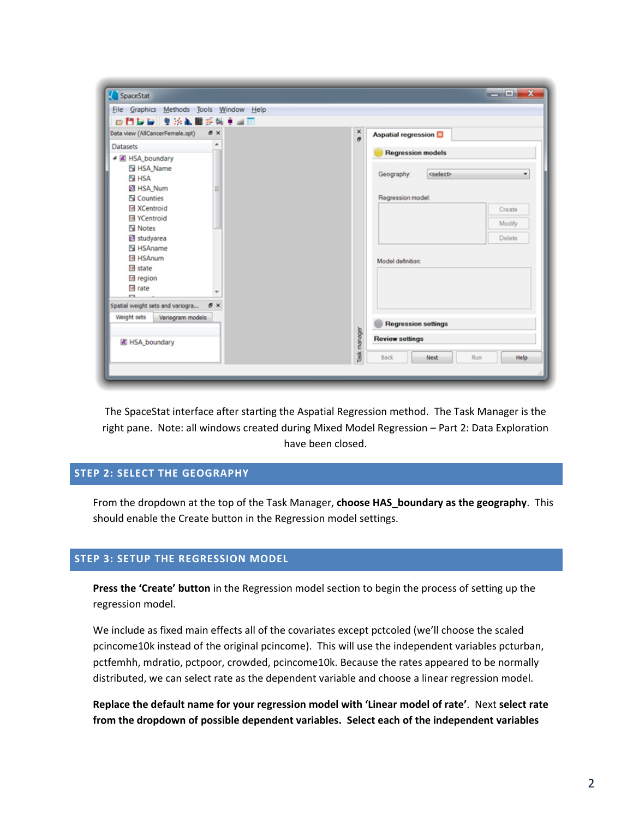| Eile Graphics Methods Tools Window Help  |                                                  |
|------------------------------------------|--------------------------------------------------|
| 中門製製 生冷氣圖手帳車圖圖                           |                                                  |
| Data view (AllCancerFemale.spt)<br>8 x   | $\frac{x}{\sigma}$<br><b>Aspatial regression</b> |
| ۰<br><b>Datasets</b>                     | <b>Regression models</b>                         |
| ▲ 图 HSA_boundary                         |                                                  |
| 图 HSA_Name                               | <select><br/>Geography:<br/>٠</select>           |
| <b>ET HSA</b><br>图 HSA Num<br>Ξ          |                                                  |
| <b>En</b> Counties                       | Regression model:                                |
| <b>网 XCentroid</b>                       | Create                                           |
| 网 YCentroid                              | Modify                                           |
| <b>Fall Notes</b>                        |                                                  |
| 23 studyarea<br>图 HSAname                | Delete                                           |
| <b>T4 HSAnum</b>                         | Model definition:                                |
| 16 state                                 |                                                  |
| <sup>16</sup> region                     |                                                  |
| 16 rate<br>$\overline{\phantom{a}}$<br>m |                                                  |
| Spatial weight sets and variogra<br>a x  |                                                  |
| Weight sets<br>Variogram models          |                                                  |
|                                          | <b>Regression settings</b>                       |
| FISA_boundary                            | lask manager<br><b>Review settings</b>           |
|                                          | Help<br>Run<br><b>Back</b><br>Next               |

The SpaceStat interface after starting the Aspatial Regression method. The Task Manager is the right pane. Note: all windows created during Mixed Model Regression – Part 2: Data Exploration have been closed.

# **STEP 2: SELECT THE GEOGRAPHY**

From the dropdown at the top of the Task Manager, **choose HAS\_boundary as the geography**. This should enable the Create button in the Regression model settings.

## **STEP 3: SETUP THE REGRESSION MODEL**

**Press the 'Create' button** in the Regression model section to begin the process of setting up the regression model.

We include as fixed main effects all of the covariates except pctcoled (we'll choose the scaled pcincome10k instead of the original pcincome). This will use the independent variables pcturban, pctfemhh, mdratio, pctpoor, crowded, pcincome10k. Because the rates appeared to be normally distributed, we can select rate as the dependent variable and choose a linear regression model.

**Replace the default name for your regression model with 'Linear model of rate'**. Next **select rate from the dropdown of possible dependent variables. Select each of the independent variables**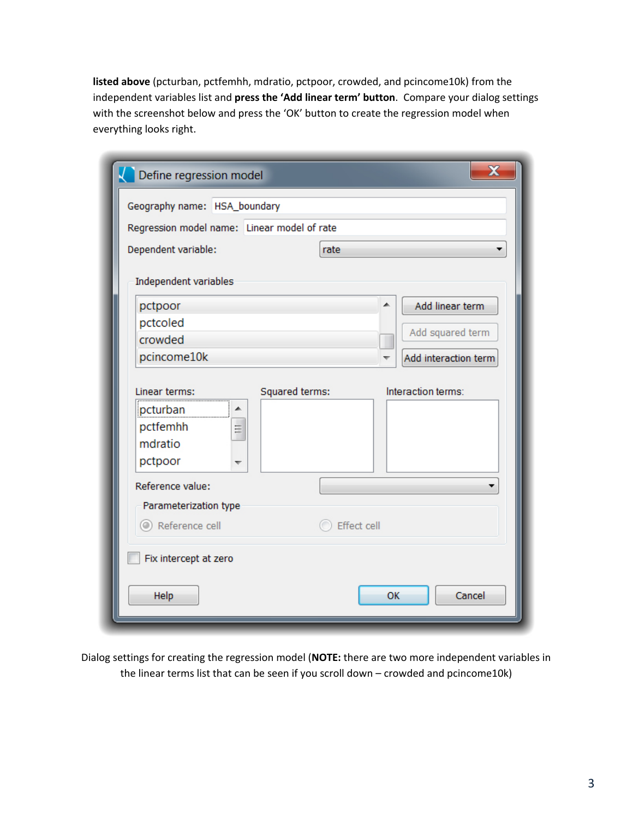**listed above** (pcturban, pctfemhh, mdratio, pctpoor, crowded, and pcincome10k) from the independent variables list and **press the 'Add linear term' button**. Compare your dialog settings with the screenshot below and press the 'OK' button to create the regression model when everything looks right.

| Define regression model                                               | $\mathbf x$                          |
|-----------------------------------------------------------------------|--------------------------------------|
| Geography name: HSA_boundary                                          |                                      |
| Regression model name: Linear model of rate                           |                                      |
| Dependent variable:                                                   | rate                                 |
| Independent variables                                                 |                                      |
| pctpoor                                                               | Add linear term                      |
| pctcoled                                                              | Add squared term                     |
| crowded                                                               |                                      |
| pcincome10k                                                           | Add interaction term                 |
| Linear terms:<br>pcturban<br>∸<br>pctfemhh<br>틔<br>mdratio<br>pctpoor | Interaction terms:<br>Squared terms: |
| Reference value:                                                      |                                      |
| Parameterization type                                                 |                                      |
| Reference cell                                                        | Effect cell                          |
| Fix intercept at zero                                                 |                                      |
| Help                                                                  | Cancel<br>OK                         |

Dialog settings for creating the regression model (**NOTE:** there are two more independent variables in the linear terms list that can be seen if you scroll down – crowded and pcincome10k)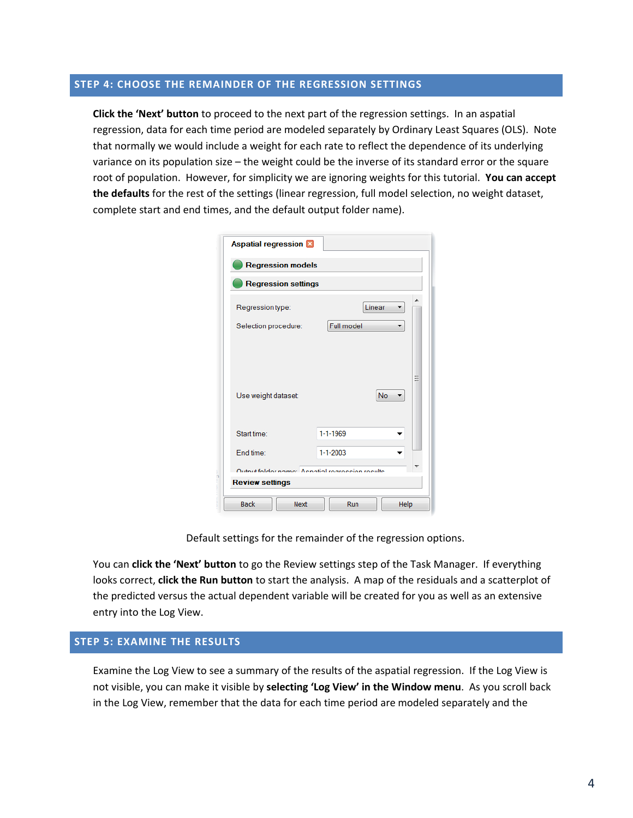# **STEP 4: CHOOSE THE REMAINDER OF THE REGRESSION SETTINGS**

**Click the 'Next' button** to proceed to the next part of the regression settings. In an aspatial regression, data for each time period are modeled separately by Ordinary Least Squares (OLS). Note that normally we would include a weight for each rate to reflect the dependence of its underlying variance on its population size – the weight could be the inverse of its standard error or the square root of population. However, for simplicity we are ignoring weights for this tutorial. **You can accept the defaults** for the rest of the settings (linear regression, full model selection, no weight dataset, complete start and end times, and the default output folder name).

| <b>Aspatial regression</b>                      |                            |                |        |      |  |
|-------------------------------------------------|----------------------------|----------------|--------|------|--|
|                                                 | <b>Regression models</b>   |                |        |      |  |
|                                                 | <b>Regression settings</b> |                |        |      |  |
| Regression type:                                |                            |                | Linear |      |  |
| Selection procedure:                            |                            | Full model     |        |      |  |
| Use weight dataset:                             |                            |                |        | No   |  |
| Start time:                                     |                            | $1 - 1 - 1969$ |        |      |  |
| End time:                                       |                            | $1 - 1 - 2003$ |        |      |  |
| Output folder name: Aenatial regression results |                            |                |        |      |  |
| <b>Review settings</b>                          |                            |                |        |      |  |
| <b>Back</b>                                     | <b>Next</b>                | Run            |        | Help |  |

Default settings for the remainder of the regression options.

You can **click the 'Next' button** to go the Review settings step of the Task Manager. If everything looks correct, **click the Run button** to start the analysis. A map of the residuals and a scatterplot of the predicted versus the actual dependent variable will be created for you as well as an extensive entry into the Log View.

# **STEP 5: EXAMINE THE RESULTS**

Examine the Log View to see a summary of the results of the aspatial regression. If the Log View is not visible, you can make it visible by **selecting 'Log View' in the Window menu**. As you scroll back in the Log View, remember that the data for each time period are modeled separately and the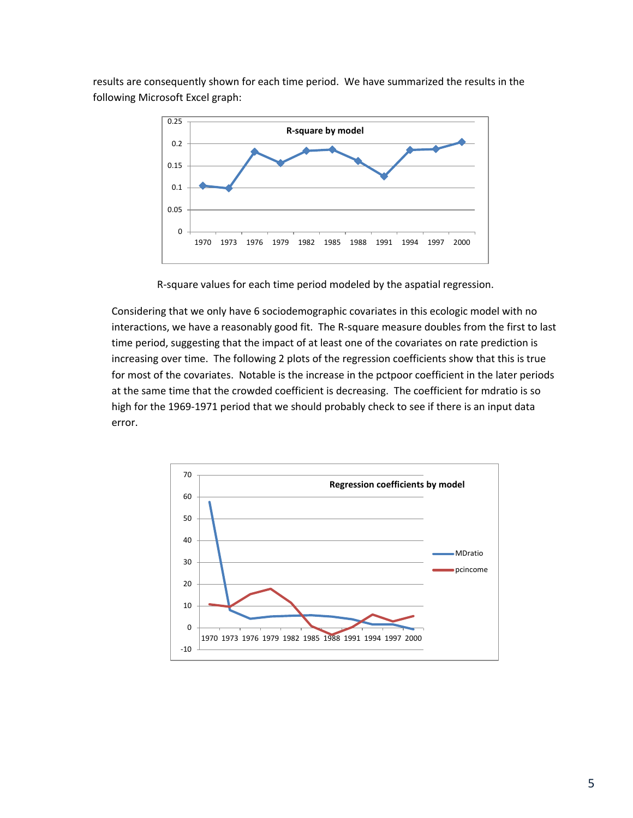results are consequently shown for each time period. We have summarized the results in the following Microsoft Excel graph:



R-square values for each time period modeled by the aspatial regression.

Considering that we only have 6 sociodemographic covariates in this ecologic model with no interactions, we have a reasonably good fit. The R-square measure doubles from the first to last time period, suggesting that the impact of at least one of the covariates on rate prediction is increasing over time. The following 2 plots of the regression coefficients show that this is true for most of the covariates. Notable is the increase in the pctpoor coefficient in the later periods at the same time that the crowded coefficient is decreasing. The coefficient for mdratio is so high for the 1969-1971 period that we should probably check to see if there is an input data error.